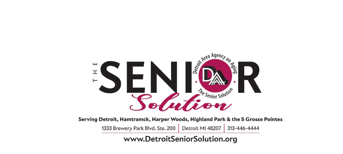

Serving Detroit, Hamtramck, Harper Woods, Highland Park & the 5 Grosse Pointes

1333 Brewery Park Blvd. Ste. 200 Detroit MI 48207 313-446-4444

www.DetroitSeniorSolution.org